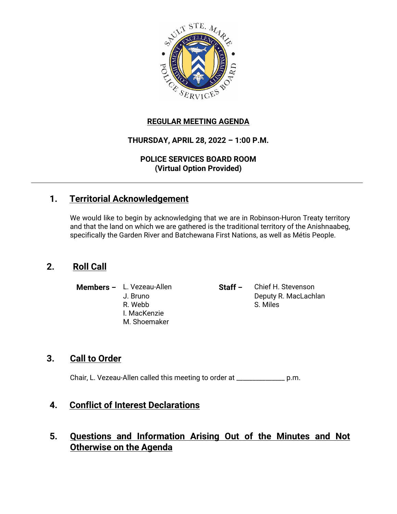

### **REGULAR MEETING AGENDA**

# **THURSDAY, APRIL 28, 2022 – 1:00 P.M.**

**POLICE SERVICES BOARD ROOM (Virtual Option Provided)**

# **1. Territorial Acknowledgement**

We would like to begin by acknowledging that we are in Robinson-Huron Treaty territory and that the land on which we are gathered is the traditional territory of the Anishnaabeg, specifically the Garden River and Batchewana First Nations, as well as Métis People.

# **2. Roll Call**

- I. MacKenzie M. Shoemaker
- **Members –** L. Vezeau-Allen **Staff –** Chief H. Stevenson J. Bruno Deputy R. MacLachlan R. Webb S. Miles

### **3. Call to Order**

Chair, L. Vezeau-Allen called this meeting to order at \_\_\_\_\_\_\_\_\_\_\_\_\_\_\_ p.m.

### **4. Conflict of Interest Declarations**

# **5. Questions and Information Arising Out of the Minutes and Not Otherwise on the Agenda**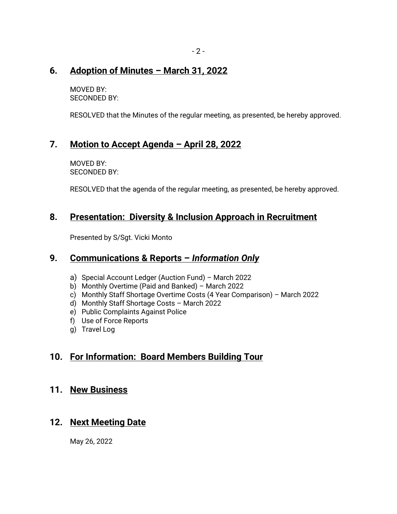### **6. Adoption of Minutes – March 31, 2022**

MOVED BY: SECONDED BY:

RESOLVED that the Minutes of the regular meeting, as presented, be hereby approved.

# **7. Motion to Accept Agenda – April 28, 2022**

MOVED BY: SECONDED BY:

RESOLVED that the agenda of the regular meeting, as presented, be hereby approved.

# **8. Presentation: Diversity & Inclusion Approach in Recruitment**

Presented by S/Sgt. Vicki Monto

### **9. Communications & Reports –** *Information Only*

- a) Special Account Ledger (Auction Fund) March 2022
- b) Monthly Overtime (Paid and Banked) March 2022
- c) Monthly Staff Shortage Overtime Costs (4 Year Comparison) March 2022
- d) Monthly Staff Shortage Costs March 2022
- e) Public Complaints Against Police
- f) Use of Force Reports
- g) Travel Log

# **10. For Information: Board Members Building Tour**

#### **11. New Business**

# **12. Next Meeting Date**

May 26, 2022